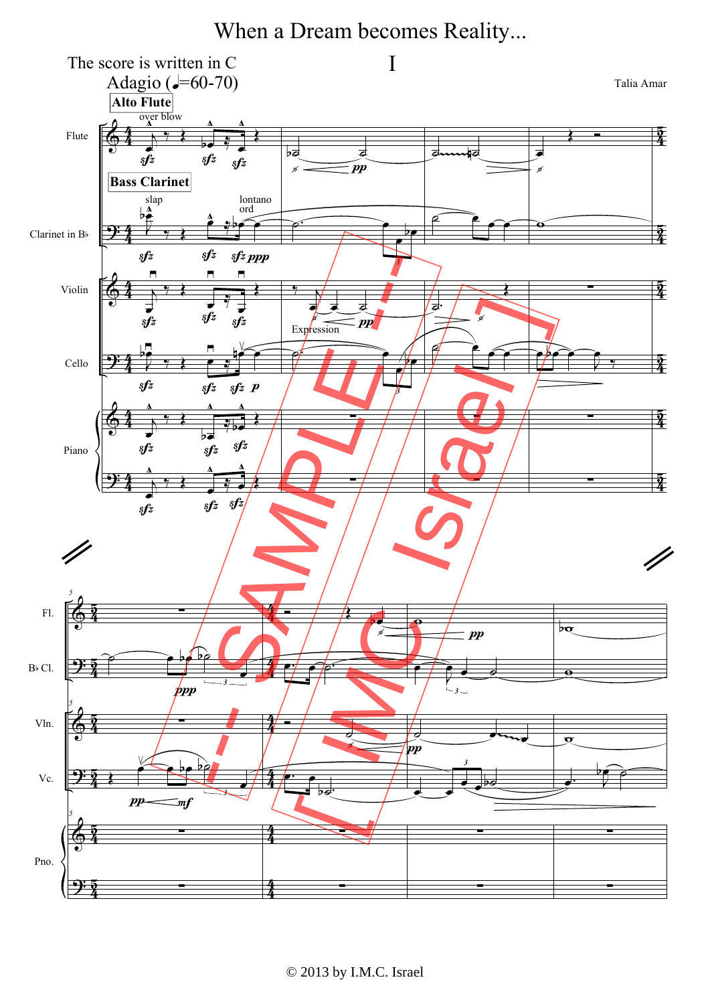When a Dream becomes Reality...

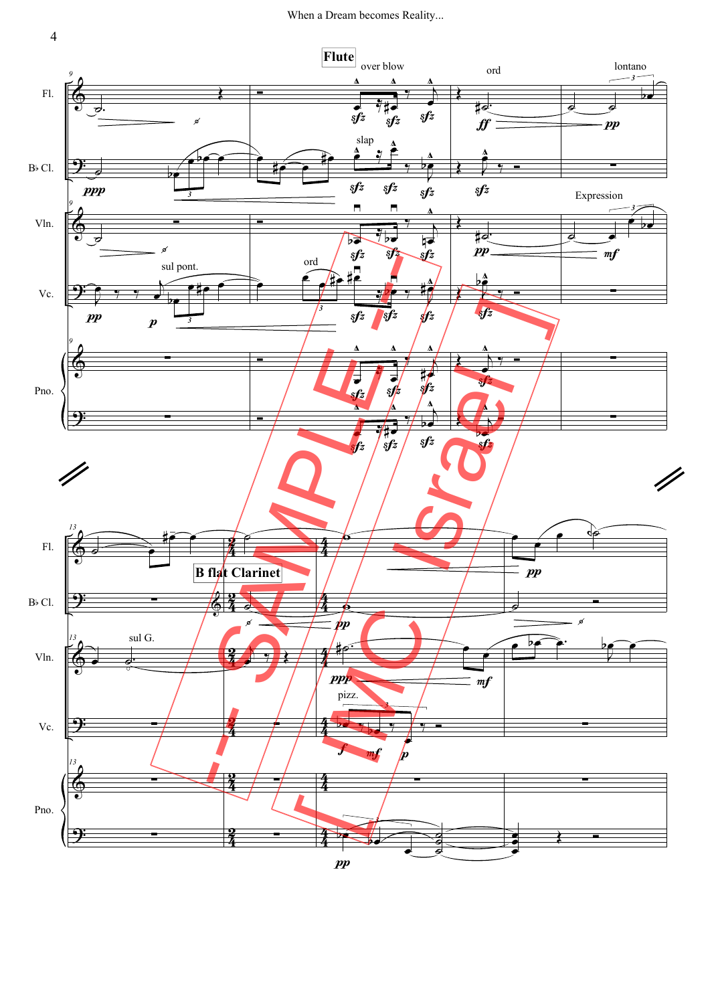

4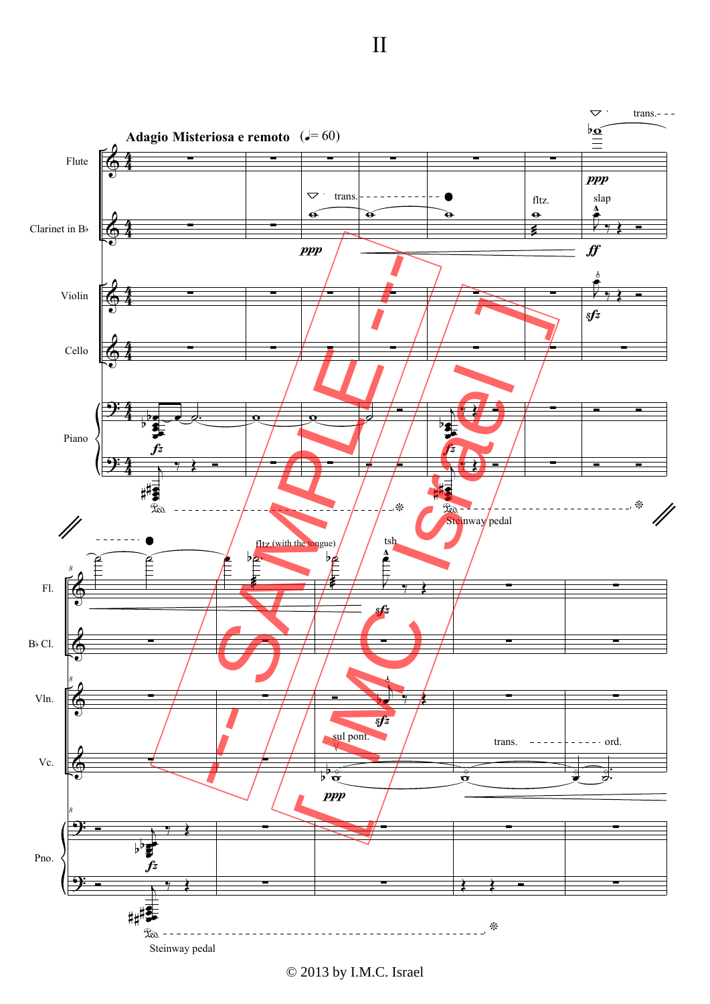



© 2013 by I.M.C. Israel